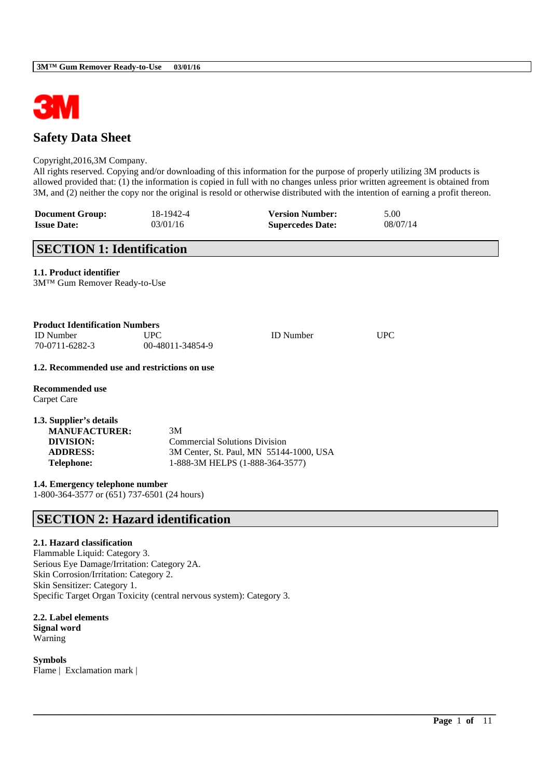

# **Safety Data Sheet**

### Copyright,2016,3M Company.

All rights reserved. Copying and/or downloading of this information for the purpose of properly utilizing 3M products is allowed provided that: (1) the information is copied in full with no changes unless prior written agreement is obtained from 3M, and (2) neither the copy nor the original is resold or otherwise distributed with the intention of earning a profit thereon.

\_\_\_\_\_\_\_\_\_\_\_\_\_\_\_\_\_\_\_\_\_\_\_\_\_\_\_\_\_\_\_\_\_\_\_\_\_\_\_\_\_\_\_\_\_\_\_\_\_\_\_\_\_\_\_\_\_\_\_\_\_\_\_\_\_\_\_\_\_\_\_\_\_\_\_\_\_\_\_\_\_\_\_\_\_\_\_\_\_\_

| <b>Document Group:</b> | 18-1942-4 | <b>Version Number:</b>  | 5.00     |
|------------------------|-----------|-------------------------|----------|
| <b>Issue Date:</b>     | 03/01/16  | <b>Supercedes Date:</b> | 08/07/14 |

# **SECTION 1: Identification**

## **1.1. Product identifier**

3M™ Gum Remover Ready-to-Use

| <b>Product Identification Numbers</b> |                  |                  |            |
|---------------------------------------|------------------|------------------|------------|
| <b>ID</b> Number                      | <b>UPC</b>       | <b>ID</b> Number | <b>UPC</b> |
| 70-0711-6282-3                        | 00-48011-34854-9 |                  |            |

### **1.2. Recommended use and restrictions on use**

**Recommended use** Carpet Care

| 3M                                      |
|-----------------------------------------|
| <b>Commercial Solutions Division</b>    |
| 3M Center, St. Paul, MN 55144-1000, USA |
| 1-888-3M HELPS (1-888-364-3577)         |
|                                         |

**1.4. Emergency telephone number** 1-800-364-3577 or (651) 737-6501 (24 hours)

## **SECTION 2: Hazard identification**

## **2.1. Hazard classification**

Flammable Liquid: Category 3. Serious Eye Damage/Irritation: Category 2A. Skin Corrosion/Irritation: Category 2. Skin Sensitizer: Category 1. Specific Target Organ Toxicity (central nervous system): Category 3.

### **2.2. Label elements Signal word** Warning

**Symbols** Flame | Exclamation mark |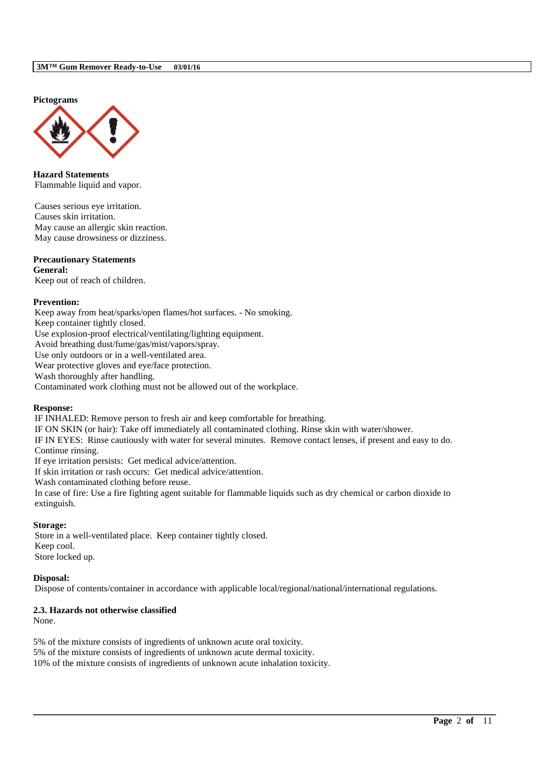**Pictograms**



**Hazard Statements** Flammable liquid and vapor.

Causes serious eye irritation. Causes skin irritation. May cause an allergic skin reaction. May cause drowsiness or dizziness.

### **Precautionary Statements**

**General:**

Keep out of reach of children.

### **Prevention:**

Keep away from heat/sparks/open flames/hot surfaces. - No smoking. Keep container tightly closed. Use explosion-proof electrical/ventilating/lighting equipment. Avoid breathing dust/fume/gas/mist/vapors/spray. Use only outdoors or in a well-ventilated area. Wear protective gloves and eye/face protection. Wash thoroughly after handling.

Contaminated work clothing must not be allowed out of the workplace.

### **Response:**

IF INHALED: Remove person to fresh air and keep comfortable for breathing.

IF ON SKIN (or hair): Take off immediately all contaminated clothing. Rinse skin with water/shower.

IF IN EYES: Rinse cautiously with water for several minutes. Remove contact lenses, if present and easy to do. Continue rinsing.

If eye irritation persists: Get medical advice/attention.

If skin irritation or rash occurs: Get medical advice/attention.

Wash contaminated clothing before reuse.

In case of fire: Use a fire fighting agent suitable for flammable liquids such as dry chemical or carbon dioxide to extinguish.

## **Storage:**

Store in a well-ventilated place. Keep container tightly closed. Keep cool. Store locked up.

### **Disposal:**

Dispose of contents/container in accordance with applicable local/regional/national/international regulations.

\_\_\_\_\_\_\_\_\_\_\_\_\_\_\_\_\_\_\_\_\_\_\_\_\_\_\_\_\_\_\_\_\_\_\_\_\_\_\_\_\_\_\_\_\_\_\_\_\_\_\_\_\_\_\_\_\_\_\_\_\_\_\_\_\_\_\_\_\_\_\_\_\_\_\_\_\_\_\_\_\_\_\_\_\_\_\_\_\_\_

## **2.3. Hazards not otherwise classified**

None.

5% of the mixture consists of ingredients of unknown acute oral toxicity. 5% of the mixture consists of ingredients of unknown acute dermal toxicity. 10% of the mixture consists of ingredients of unknown acute inhalation toxicity.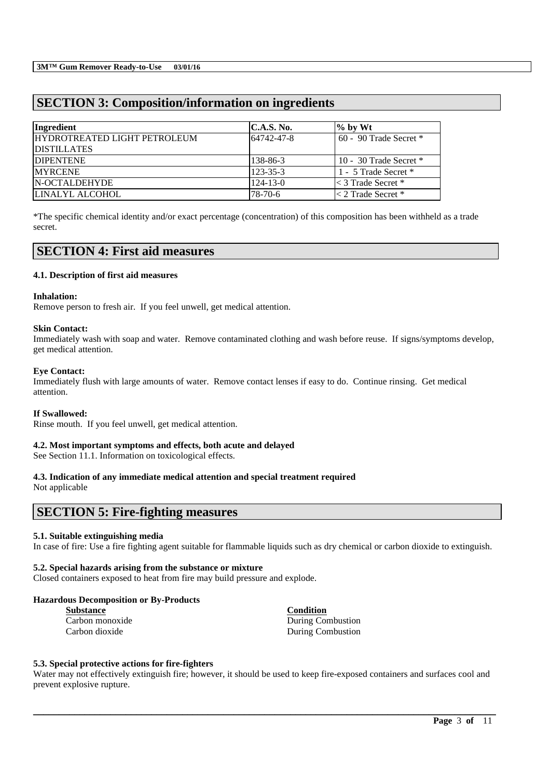# **SECTION 3: Composition/information on ingredients**

| Ingredient                   | <b>C.A.S. No.</b> | $\%$ by Wt                 |
|------------------------------|-------------------|----------------------------|
| HYDROTREATED LIGHT PETROLEUM | 64742-47-8        | $60 - 90$ Trade Secret $*$ |
| <b>DISTILLATES</b>           |                   |                            |
| <b>IDIPENTENE</b>            | 138-86-3          | 10 - 30 Trade Secret $*$   |
| <b>MYRCENE</b>               | 123-35-3          | 1 - 5 Trade Secret *       |
| <b>N-OCTALDEHYDE</b>         | $124 - 13 - 0$    | $\leq$ 3 Trade Secret $*$  |
| LINALYL ALCOHOL              | 78-70-6           | $\leq$ 2 Trade Secret *    |

\*The specific chemical identity and/or exact percentage (concentration) of this composition has been withheld as a trade secret.

## **SECTION 4: First aid measures**

## **4.1. Description of first aid measures**

### **Inhalation:**

Remove person to fresh air. If you feel unwell, get medical attention.

### **Skin Contact:**

Immediately wash with soap and water. Remove contaminated clothing and wash before reuse. If signs/symptoms develop, get medical attention.

### **Eye Contact:**

Immediately flush with large amounts of water. Remove contact lenses if easy to do. Continue rinsing. Get medical attention.

### **If Swallowed:**

Rinse mouth. If you feel unwell, get medical attention.

## **4.2. Most important symptoms and effects, both acute and delayed**

See Section 11.1. Information on toxicological effects.

# **4.3. Indication of any immediate medical attention and special treatment required**

Not applicable

## **SECTION 5: Fire-fighting measures**

## **5.1. Suitable extinguishing media**

In case of fire: Use a fire fighting agent suitable for flammable liquids such as dry chemical or carbon dioxide to extinguish.

## **5.2. Special hazards arising from the substance or mixture**

Closed containers exposed to heat from fire may build pressure and explode.

### **Hazardous Decomposition or By-Products**

| <b>Substance</b> |  |
|------------------|--|
| Carbon monoxide  |  |
| Carbon dioxide   |  |

**Substance Condition** During Combustion During Combustion

## **5.3. Special protective actions for fire-fighters**

Water may not effectively extinguish fire; however, it should be used to keep fire-exposed containers and surfaces cool and prevent explosive rupture.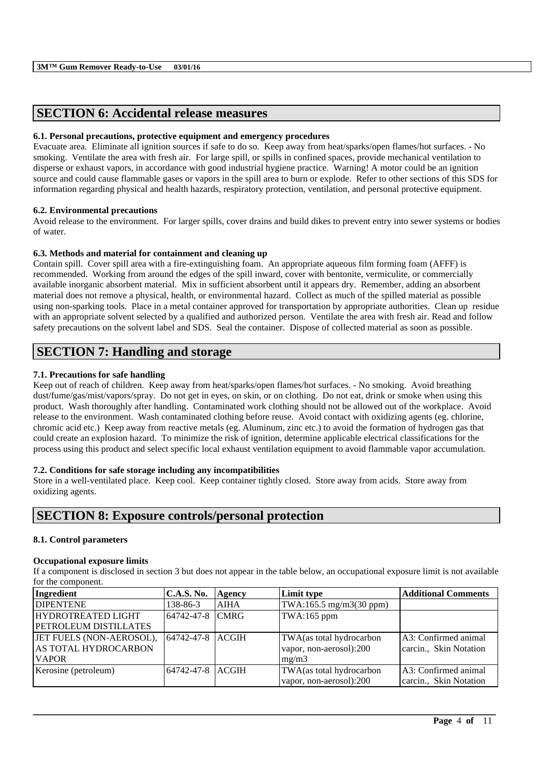# **SECTION 6: Accidental release measures**

## **6.1. Personal precautions, protective equipment and emergency procedures**

Evacuate area. Eliminate all ignition sources if safe to do so. Keep away from heat/sparks/open flames/hot surfaces. - No smoking. Ventilate the area with fresh air. For large spill, or spills in confined spaces, provide mechanical ventilation to disperse or exhaust vapors, in accordance with good industrial hygiene practice. Warning! A motor could be an ignition source and could cause flammable gases or vapors in the spill area to burn or explode. Refer to other sections of this SDS for information regarding physical and health hazards, respiratory protection, ventilation, and personal protective equipment.

## **6.2. Environmental precautions**

Avoid release to the environment. For larger spills, cover drains and build dikes to prevent entry into sewer systems or bodies of water.

### **6.3. Methods and material for containment and cleaning up**

Contain spill. Cover spill area with a fire-extinguishing foam. An appropriate aqueous film forming foam (AFFF) is recommended. Working from around the edges of the spill inward, cover with bentonite, vermiculite, or commercially available inorganic absorbent material. Mix in sufficient absorbent until it appears dry. Remember, adding an absorbent material does not remove a physical, health, or environmental hazard. Collect as much of the spilled material as possible using non-sparking tools. Place in a metal container approved for transportation by appropriate authorities. Clean up residue with an appropriate solvent selected by a qualified and authorized person. Ventilate the area with fresh air. Read and follow safety precautions on the solvent label and SDS. Seal the container. Dispose of collected material as soon as possible.

# **SECTION 7: Handling and storage**

## **7.1. Precautions for safe handling**

Keep out of reach of children. Keep away from heat/sparks/open flames/hot surfaces. - No smoking. Avoid breathing dust/fume/gas/mist/vapors/spray. Do not get in eyes, on skin, or on clothing. Do not eat, drink or smoke when using this product. Wash thoroughly after handling. Contaminated work clothing should not be allowed out of the workplace. Avoid release to the environment. Wash contaminated clothing before reuse. Avoid contact with oxidizing agents (eg. chlorine, chromic acid etc.) Keep away from reactive metals (eg. Aluminum, zinc etc.) to avoid the formation of hydrogen gas that could create an explosion hazard. To minimize the risk of ignition, determine applicable electrical classifications for the process using this product and select specific local exhaust ventilation equipment to avoid flammable vapor accumulation.

## **7.2. Conditions for safe storage including any incompatibilities**

Store in a well-ventilated place. Keep cool. Keep container tightly closed. Store away from acids. Store away from oxidizing agents.

## **SECTION 8: Exposure controls/personal protection**

## **8.1. Control parameters**

### **Occupational exposure limits**

If a component is disclosed in section 3 but does not appear in the table below, an occupational exposure limit is not available for the component.

| Ingredient                | <b>C.A.S. No.</b> | Agency      | Limit type               | <b>Additional Comments</b> |
|---------------------------|-------------------|-------------|--------------------------|----------------------------|
| <b>DIPENTENE</b>          | 138-86-3          | <b>AIHA</b> | TWA:165.5 mg/m3(30 ppm)  |                            |
| <b>HYDROTREATED LIGHT</b> | 64742-47-8        | <b>CMRG</b> | TWA:165 ppm              |                            |
| PETROLEUM DISTILLATES     |                   |             |                          |                            |
| JET FUELS (NON-AEROSOL),  | 64742-47-8 ACGIH  |             | TWA(as total hydrocarbon | A3: Confirmed animal       |
| AS TOTAL HYDROCARBON      |                   |             | vapor, non-aerosol):200  | carcin., Skin Notation     |
| <b>VAPOR</b>              |                   |             | mg/m3                    |                            |
| Kerosine (petroleum)      | 64742-47-8 ACGIH  |             | TWA(as total hydrocarbon | A3: Confirmed animal       |
|                           |                   |             | vapor, non-aerosol):200  | carcin., Skin Notation     |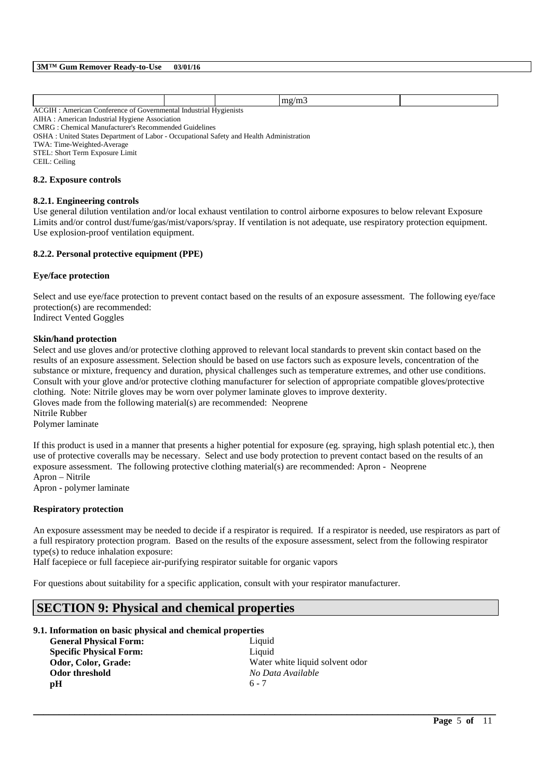| ACGI<br>'onterence of<br>American<br>Governmental | Industrial | <b>Hygienists</b><br>. |  |
|---------------------------------------------------|------------|------------------------|--|

AIHA : American Industrial Hygiene Association

CMRG : Chemical Manufacturer's Recommended Guidelines

OSHA : United States Department of Labor - Occupational Safety and Health Administration

TWA: Time-Weighted-Average

STEL: Short Term Exposure Limit

CEIL: Ceiling

### **8.2. Exposure controls**

### **8.2.1. Engineering controls**

Use general dilution ventilation and/or local exhaust ventilation to control airborne exposures to below relevant Exposure Limits and/or control dust/fume/gas/mist/vapors/spray. If ventilation is not adequate, use respiratory protection equipment. Use explosion-proof ventilation equipment.

## **8.2.2. Personal protective equipment (PPE)**

### **Eye/face protection**

Select and use eye/face protection to prevent contact based on the results of an exposure assessment. The following eye/face protection(s) are recommended:

Indirect Vented Goggles

### **Skin/hand protection**

Select and use gloves and/or protective clothing approved to relevant local standards to prevent skin contact based on the results of an exposure assessment. Selection should be based on use factors such as exposure levels, concentration of the substance or mixture, frequency and duration, physical challenges such as temperature extremes, and other use conditions. Consult with your glove and/or protective clothing manufacturer for selection of appropriate compatible gloves/protective clothing. Note: Nitrile gloves may be worn over polymer laminate gloves to improve dexterity. Gloves made from the following material(s) are recommended: Neoprene

Nitrile Rubber

Polymer laminate

If this product is used in a manner that presents a higher potential for exposure (eg. spraying, high splash potential etc.), then use of protective coveralls may be necessary. Select and use body protection to prevent contact based on the results of an exposure assessment. The following protective clothing material(s) are recommended: Apron - Neoprene Apron – Nitrile

Apron - polymer laminate

## **Respiratory protection**

An exposure assessment may be needed to decide if a respirator is required. If a respirator is needed, use respirators as part of a full respiratory protection program. Based on the results of the exposure assessment, select from the following respirator type(s) to reduce inhalation exposure:

\_\_\_\_\_\_\_\_\_\_\_\_\_\_\_\_\_\_\_\_\_\_\_\_\_\_\_\_\_\_\_\_\_\_\_\_\_\_\_\_\_\_\_\_\_\_\_\_\_\_\_\_\_\_\_\_\_\_\_\_\_\_\_\_\_\_\_\_\_\_\_\_\_\_\_\_\_\_\_\_\_\_\_\_\_\_\_\_\_\_

Half facepiece or full facepiece air-purifying respirator suitable for organic vapors

For questions about suitability for a specific application, consult with your respirator manufacturer.

## **SECTION 9: Physical and chemical properties**

| 9.1. Information on basic physical and chemical properties |                                 |  |
|------------------------------------------------------------|---------------------------------|--|
| <b>General Physical Form:</b>                              | Liquid                          |  |
| <b>Specific Physical Form:</b>                             | Liquid                          |  |
| Odor, Color, Grade:                                        | Water white liquid solvent odor |  |
| Odor threshold                                             | No Data Available               |  |
| рH                                                         | $6 - 7$                         |  |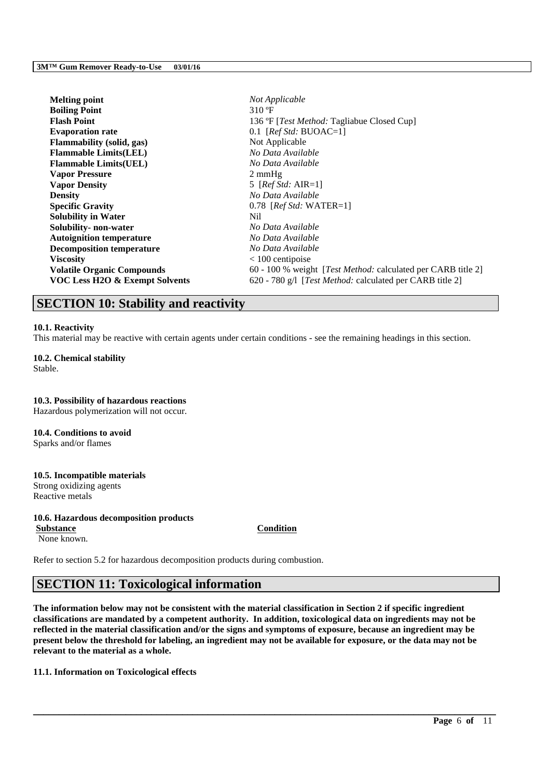| Not Applicable                                                       |
|----------------------------------------------------------------------|
| 310 °F                                                               |
| 136 °F [ <i>Test Method:</i> Tagliabue Closed Cup]                   |
| 0.1 [ $Ref Std: BVOAC=1$ ]                                           |
| Not Applicable                                                       |
| No Data Available                                                    |
| No Data Available                                                    |
| $2 \text{ mmHg}$                                                     |
| 5 [ $RefStd: AIR=1$ ]                                                |
| No Data Available                                                    |
| $0.78$ [ <i>Ref Std:</i> WATER=1]                                    |
| Nil                                                                  |
| No Data Available                                                    |
| No Data Available                                                    |
| No Data Available                                                    |
| $< 100$ centipoise                                                   |
| 60 - 100 % weight [ <i>Test Method:</i> calculated per CARB title 2] |
| 620 - 780 g/l [Test Method: calculated per CARB title 2]             |
|                                                                      |

## **SECTION 10: Stability and reactivity**

## **10.1. Reactivity**

This material may be reactive with certain agents under certain conditions - see the remaining headings in this section.

**10.2. Chemical stability** Stable.

**10.3. Possibility of hazardous reactions** Hazardous polymerization will not occur.

**10.4. Conditions to avoid** Sparks and/or flames

## **10.5. Incompatible materials**

Strong oxidizing agents Reactive metals

## **10.6. Hazardous decomposition products**

**Substance Condition** None known.

Refer to section 5.2 for hazardous decomposition products during combustion.

## **SECTION 11: Toxicological information**

**The information below may not be consistent with the material classification in Section 2 if specific ingredient classifications are mandated by a competent authority. In addition, toxicological data on ingredients may not be reflected in the material classification and/or the signs and symptoms of exposure, because an ingredient may be present below the threshold for labeling, an ingredient may not be available for exposure, or the data may not be relevant to the material as a whole.**

\_\_\_\_\_\_\_\_\_\_\_\_\_\_\_\_\_\_\_\_\_\_\_\_\_\_\_\_\_\_\_\_\_\_\_\_\_\_\_\_\_\_\_\_\_\_\_\_\_\_\_\_\_\_\_\_\_\_\_\_\_\_\_\_\_\_\_\_\_\_\_\_\_\_\_\_\_\_\_\_\_\_\_\_\_\_\_\_\_\_

**11.1. Information on Toxicological effects**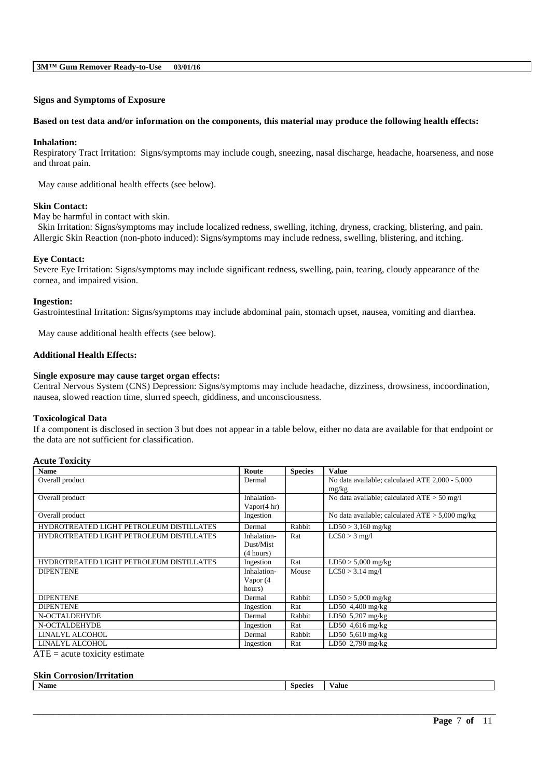### **Signs and Symptoms of Exposure**

### **Based on test data and/or information on the components, this material may produce the following health effects:**

### **Inhalation:**

Respiratory Tract Irritation: Signs/symptoms may include cough, sneezing, nasal discharge, headache, hoarseness, and nose and throat pain.

May cause additional health effects (see below).

### **Skin Contact:**

May be harmful in contact with skin.

Skin Irritation: Signs/symptoms may include localized redness, swelling, itching, dryness, cracking, blistering, and pain. Allergic Skin Reaction (non-photo induced): Signs/symptoms may include redness, swelling, blistering, and itching.

### **Eye Contact:**

Severe Eye Irritation: Signs/symptoms may include significant redness, swelling, pain, tearing, cloudy appearance of the cornea, and impaired vision.

### **Ingestion:**

Gastrointestinal Irritation: Signs/symptoms may include abdominal pain, stomach upset, nausea, vomiting and diarrhea.

May cause additional health effects (see below).

### **Additional Health Effects:**

### **Single exposure may cause target organ effects:**

Central Nervous System (CNS) Depression: Signs/symptoms may include headache, dizziness, drowsiness, incoordination, nausea, slowed reaction time, slurred speech, giddiness, and unconsciousness.

### **Toxicological Data**

If a component is disclosed in section 3 but does not appear in a table below, either no data are available for that endpoint or the data are not sufficient for classification.

### **Acute Toxicity**

| <b>Name</b>                                                                                                                    | Route       | <b>Species</b> | <b>Value</b>                                      |
|--------------------------------------------------------------------------------------------------------------------------------|-------------|----------------|---------------------------------------------------|
| Overall product                                                                                                                | Dermal      |                | No data available; calculated ATE 2,000 - 5,000   |
|                                                                                                                                |             |                | mg/kg                                             |
| Overall product                                                                                                                | Inhalation- |                | No data available; calculated $ATE > 50$ mg/l     |
|                                                                                                                                | Vapor(4 hr) |                |                                                   |
| Overall product                                                                                                                | Ingestion   |                | No data available; calculated $ATE > 5,000$ mg/kg |
| HYDROTREATED LIGHT PETROLEUM DISTILLATES                                                                                       | Dermal      | Rabbit         | $LD50 > 3,160$ mg/kg                              |
| HYDROTREATED LIGHT PETROLEUM DISTILLATES                                                                                       | Inhalation- | Rat            | $LC50 > 3$ mg/l                                   |
|                                                                                                                                | Dust/Mist   |                |                                                   |
|                                                                                                                                | (4 hours)   |                |                                                   |
| HYDROTREATED LIGHT PETROLEUM DISTILLATES                                                                                       | Ingestion   | Rat            | $LD50 > 5,000$ mg/kg                              |
| <b>DIPENTENE</b>                                                                                                               | Inhalation- | Mouse          | $LC50 > 3.14$ mg/l                                |
|                                                                                                                                | Vapor (4    |                |                                                   |
|                                                                                                                                | hours)      |                |                                                   |
| <b>DIPENTENE</b>                                                                                                               | Dermal      | Rabbit         | $LD50 > 5,000$ mg/kg                              |
| <b>DIPENTENE</b>                                                                                                               | Ingestion   | Rat            | LD50 $4,400$ mg/kg                                |
| N-OCTALDEHYDE                                                                                                                  | Dermal      | Rabbit         | LD50 5,207 mg/kg                                  |
| N-OCTALDEHYDE                                                                                                                  | Ingestion   | Rat            | LD50 $4,616$ mg/kg                                |
| LINALYL ALCOHOL                                                                                                                | Dermal      | Rabbit         | LD50 $5,610$ mg/kg                                |
| LINALYL ALCOHOL                                                                                                                | Ingestion   | Rat            | LD50 2,790 mg/kg                                  |
| $\mathbf{A}$ and $\mathbf{B}$ are associated as a set of $\mathbf{A}$ and $\mathbf{A}$ are associated as a set of $\mathbf{A}$ |             |                |                                                   |

 $ATE = acute$  toxicity estimate

### **Skin Corrosion/Irritation**

| Name<br>species.<br>'alue |
|---------------------------|
|---------------------------|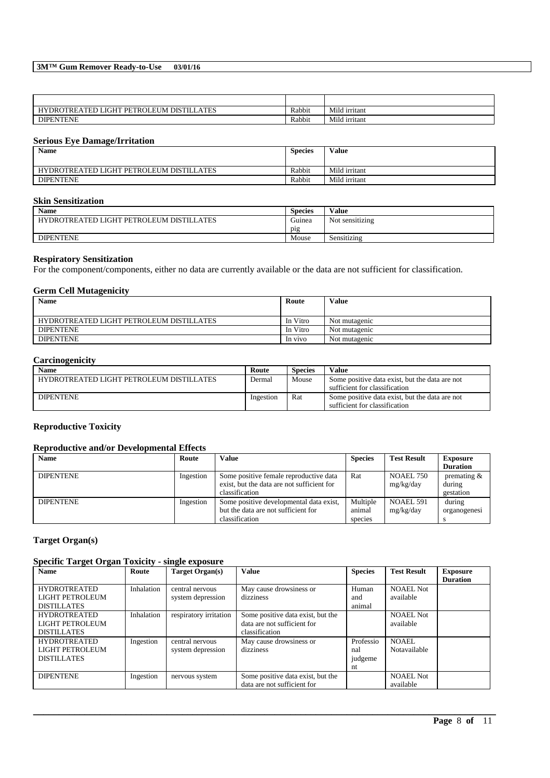## **3M™ Gum Remover Ready-to-Use 03/01/16**

| <b>ATES</b><br>$EUM$ .<br>PETROI<br><b>DISTIL</b><br><b>JGHT</b><br><b>)TREATED I</b><br><b>HYDR</b> | Rabbit | Mild irritant |
|------------------------------------------------------------------------------------------------------|--------|---------------|
| <b>NTENE</b><br><b>DIPENT</b>                                                                        | Rabbit | Mild irritant |

## **Serious Eye Damage/Irritation**

| <b>Name</b>                              | <b>Species</b> | Value         |
|------------------------------------------|----------------|---------------|
| HYDROTREATED LIGHT PETROLEUM DISTILLATES | Rabbit         | Mild irritant |
| <b>DIPENTENE</b>                         | Rabbit         | Mild irritant |

## **Skin Sensitization**

| <b>Name</b>                              | $\sim$<br><b>Species</b> | Value                   |
|------------------------------------------|--------------------------|-------------------------|
| HYDROTREATED LIGHT PETROLEUM DISTILLATES | Guinea                   | . .<br>Not sensitizing  |
|                                          | p <sub>1</sub> g         |                         |
| <b>DIPENTENE</b>                         | Mouse                    | $\cdots$<br>Sensitizing |

#### **Respiratory Sensitization**

For the component/components, either no data are currently available or the data are not sufficient for classification.

### **Germ Cell Mutagenicity**

| <b>Name</b>                              | Route    | Value         |
|------------------------------------------|----------|---------------|
|                                          |          |               |
| HYDROTREATED LIGHT PETROLEUM DISTILLATES | In Vitro | Not mutagenic |
| <b>DIPENTENE</b>                         | In Vitro | Not mutagenic |
| <b>DIPENTENE</b>                         | In vivo  | Not mutagenic |

## **Carcinogenicity**

| Name                                     | Route     | <b>Species</b> | Value                                                                           |
|------------------------------------------|-----------|----------------|---------------------------------------------------------------------------------|
| HYDROTREATED LIGHT PETROLEUM DISTILLATES | Dermal    | Mouse          | Some positive data exist, but the data are not<br>sufficient for classification |
| <b>DIPENTENE</b>                         | Ingestion | Rat            | Some positive data exist, but the data are not<br>sufficient for classification |

### **Reproductive Toxicity**

### **Reproductive and/or Developmental Effects**

| <b>Name</b>      | Route     | Value                                                                                                  | <b>Species</b>                | <b>Test Result</b>     | <b>Exposure</b>                      |
|------------------|-----------|--------------------------------------------------------------------------------------------------------|-------------------------------|------------------------|--------------------------------------|
|                  |           |                                                                                                        |                               |                        | <b>Duration</b>                      |
| <b>DIPENTENE</b> | Ingestion | Some positive female reproductive data<br>exist, but the data are not sufficient for<br>classification | Rat                           | NOAEL 750<br>mg/kg/day | premating $&$<br>during<br>gestation |
| <b>DIPENTENE</b> | Ingestion | Some positive developmental data exist,<br>but the data are not sufficient for<br>classification       | Multiple<br>animal<br>species | NOAEL 591<br>mg/kg/day | during<br>organogenesi               |

## **Target Organ(s)**

## **Specific Target Organ Toxicity - single exposure**

| <b>Name</b>                                                  | Route      | Target Organ(s)                      | <b>Value</b>                                                                       | <b>Species</b>                    | <b>Test Result</b>            | <b>Exposure</b><br><b>Duration</b> |
|--------------------------------------------------------------|------------|--------------------------------------|------------------------------------------------------------------------------------|-----------------------------------|-------------------------------|------------------------------------|
| <b>HYDROTREATED</b><br>LIGHT PETROLEUM<br><b>DISTILLATES</b> | Inhalation | central nervous<br>system depression | May cause drowsiness or<br>dizziness                                               | Human<br>and<br>animal            | <b>NOAEL Not</b><br>available |                                    |
| <b>HYDROTREATED</b><br>LIGHT PETROLEUM<br><b>DISTILLATES</b> | Inhalation | respiratory irritation               | Some positive data exist, but the<br>data are not sufficient for<br>classification |                                   | <b>NOAEL Not</b><br>available |                                    |
| <b>HYDROTREATED</b><br>LIGHT PETROLEUM<br><b>DISTILLATES</b> | Ingestion  | central nervous<br>system depression | May cause drowsiness or<br>dizziness                                               | Professio<br>nal<br>judgeme<br>nt | NOAEL.<br>Notavailable        |                                    |
| <b>DIPENTENE</b>                                             | Ingestion  | nervous system                       | Some positive data exist, but the<br>data are not sufficient for                   |                                   | <b>NOAEL Not</b><br>available |                                    |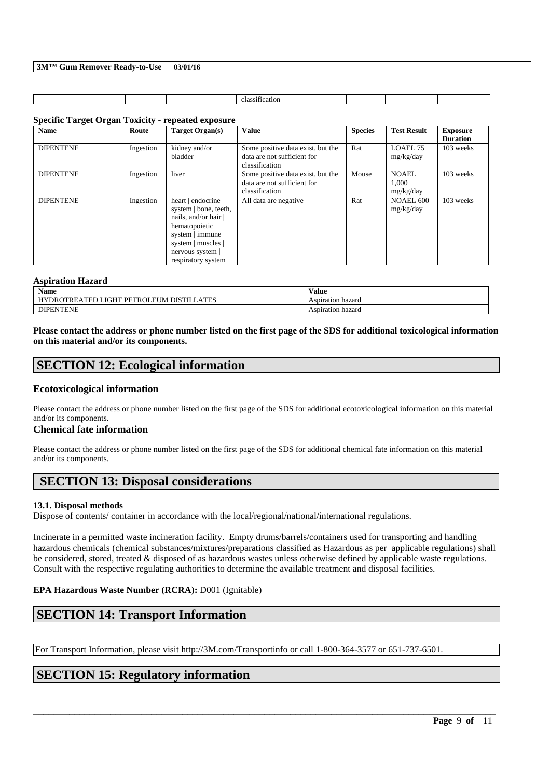| . .<br>м<br>. |  |  |  |  |
|---------------|--|--|--|--|
|               |  |  |  |  |

## **Specific Target Organ Toxicity - repeated exposure**

| <b>Name</b>      | Route     | <b>Target Organ(s)</b>                                                                                                                                               | <b>Value</b>                                                                       | <b>Species</b> | <b>Test Result</b>                 | <b>Exposure</b><br><b>Duration</b> |
|------------------|-----------|----------------------------------------------------------------------------------------------------------------------------------------------------------------------|------------------------------------------------------------------------------------|----------------|------------------------------------|------------------------------------|
| <b>DIPENTENE</b> | Ingestion | kidney and/or<br>bladder                                                                                                                                             | Some positive data exist, but the<br>data are not sufficient for<br>classification | Rat            | LOAEL 75<br>mg/kg/day              | 103 weeks                          |
| <b>DIPENTENE</b> | Ingestion | liver                                                                                                                                                                | Some positive data exist, but the<br>data are not sufficient for<br>classification | Mouse          | <b>NOAEL</b><br>1.000<br>mg/kg/day | 103 weeks                          |
| <b>DIPENTENE</b> | Ingestion | heart   endocrine<br>system   bone, teeth,<br>nails, and/or hair<br>hematopoietic<br>system   immune<br>system   muscles  <br>nervous system  <br>respiratory system | All data are negative                                                              | Rat            | NOAEL 600<br>mg/kg/day             | 103 weeks                          |

### **Aspiration Hazard**

| $\mathbf{X}$<br>Name                                                                                                                           | $\mathbf{v}$<br>Value |
|------------------------------------------------------------------------------------------------------------------------------------------------|-----------------------|
| ATES<br><b>DIGTTI</b><br>. $PFT$<br>OTRE <sub>/</sub><br><b>TIT TH</b><br>$\lambda$ mp $\Gamma$<br><b>LIVI</b><br>DRO<br>10 î.H<br>. .<br>' EL | Aspiration hazard     |
| <b>VTENE</b><br>DIPE                                                                                                                           | Aspiration hazard     |

**Please contact the address or phone number listed on the first page of the SDS for additional toxicological information on this material and/or its components.**

## **SECTION 12: Ecological information**

## **Ecotoxicological information**

Please contact the address or phone number listed on the first page of the SDS for additional ecotoxicological information on this material and/or its components.

## **Chemical fate information**

Please contact the address or phone number listed on the first page of the SDS for additional chemical fate information on this material and/or its components.

# **SECTION 13: Disposal considerations**

## **13.1. Disposal methods**

Dispose of contents/ container in accordance with the local/regional/national/international regulations.

Incinerate in a permitted waste incineration facility. Empty drums/barrels/containers used for transporting and handling hazardous chemicals (chemical substances/mixtures/preparations classified as Hazardous as per applicable regulations) shall be considered, stored, treated & disposed of as hazardous wastes unless otherwise defined by applicable waste regulations. Consult with the respective regulating authorities to determine the available treatment and disposal facilities.

\_\_\_\_\_\_\_\_\_\_\_\_\_\_\_\_\_\_\_\_\_\_\_\_\_\_\_\_\_\_\_\_\_\_\_\_\_\_\_\_\_\_\_\_\_\_\_\_\_\_\_\_\_\_\_\_\_\_\_\_\_\_\_\_\_\_\_\_\_\_\_\_\_\_\_\_\_\_\_\_\_\_\_\_\_\_\_\_\_\_

## **EPA Hazardous Waste Number (RCRA):** D001 (Ignitable)

# **SECTION 14: Transport Information**

For Transport Information, please visit http://3M.com/Transportinfo or call 1-800-364-3577 or 651-737-6501.

# **SECTION 15: Regulatory information**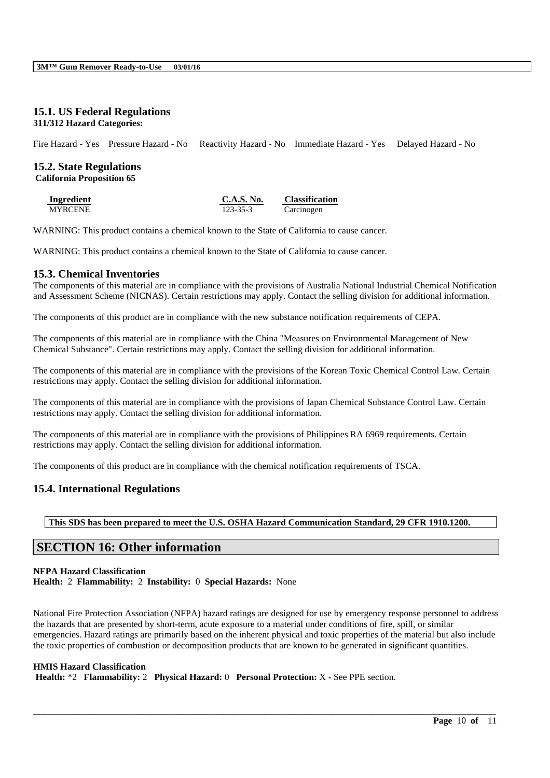## **15.1. US Federal Regulations 311/312 Hazard Categories:**

Fire Hazard - Yes Pressure Hazard - No Reactivity Hazard - No Immediate Hazard - Yes Delayed Hazard - No

# **15.2. State Regulations**

**California Proposition 65**

| <b>Ingredient</b> | C.A.S. No.     | <b>Classification</b> |
|-------------------|----------------|-----------------------|
| <b>MYRCENE</b>    | $123 - 35 - 3$ | Carcinogen            |

WARNING: This product contains a chemical known to the State of California to cause cancer.

WARNING: This product contains a chemical known to the State of California to cause cancer.

## **15.3. Chemical Inventories**

The components of this material are in compliance with the provisions of Australia National Industrial Chemical Notification and Assessment Scheme (NICNAS). Certain restrictions may apply. Contact the selling division for additional information.

The components of this product are in compliance with the new substance notification requirements of CEPA.

The components of this material are in compliance with the China "Measures on Environmental Management of New Chemical Substance". Certain restrictions may apply. Contact the selling division for additional information.

The components of this material are in compliance with the provisions of the Korean Toxic Chemical Control Law. Certain restrictions may apply. Contact the selling division for additional information.

The components of this material are in compliance with the provisions of Japan Chemical Substance Control Law. Certain restrictions may apply. Contact the selling division for additional information.

The components of this material are in compliance with the provisions of Philippines RA 6969 requirements. Certain restrictions may apply. Contact the selling division for additional information.

The components of this product are in compliance with the chemical notification requirements of TSCA.

## **15.4. International Regulations**

**This SDS has been prepared to meet the U.S. OSHA Hazard Communication Standard, 29 CFR 1910.1200.**

## **SECTION 16: Other information**

## **NFPA Hazard Classification**

**Health:** 2 **Flammability:** 2 **Instability:** 0 **Special Hazards:** None

National Fire Protection Association (NFPA) hazard ratings are designed for use by emergency response personnel to address the hazards that are presented by short-term, acute exposure to a material under conditions of fire, spill, or similar emergencies. Hazard ratings are primarily based on the inherent physical and toxic properties of the material but also include the toxic properties of combustion or decomposition products that are known to be generated in significant quantities.

\_\_\_\_\_\_\_\_\_\_\_\_\_\_\_\_\_\_\_\_\_\_\_\_\_\_\_\_\_\_\_\_\_\_\_\_\_\_\_\_\_\_\_\_\_\_\_\_\_\_\_\_\_\_\_\_\_\_\_\_\_\_\_\_\_\_\_\_\_\_\_\_\_\_\_\_\_\_\_\_\_\_\_\_\_\_\_\_\_\_

## **HMIS Hazard Classification**

**Health:** \*2 **Flammability:** 2 **Physical Hazard:** 0 **Personal Protection:** X - See PPE section.